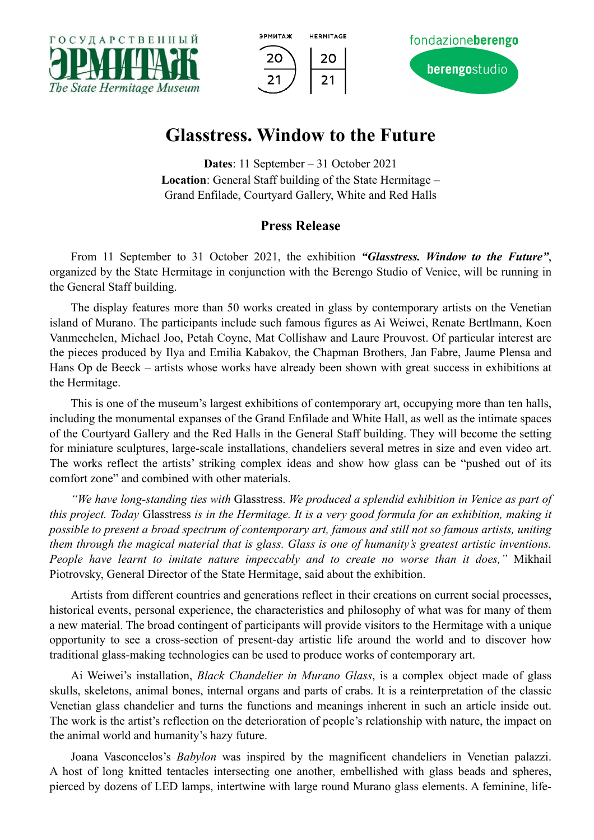





## **Glasstress. Window to the Future**

**Dates**: 11 September – 31 October 2021 **Location**: General Staff building of the State Hermitage – Grand Enfilade, Courtyard Gallery, White and Red Halls

## **Press Release**

From 11 September to 31 October 2021, the exhibition *"Glasstress. Window to the Future"*, organized by the State Hermitage in conjunction with the Berengo Studio of Venice, will be running in the General Staff building.

The display features more than 50 works created in glass by contemporary artists on the Venetian island of Murano. The participants include such famous figures as Ai Weiwei, Renate Bertlmann, Koen Vanmechelen, Michael Joo, Petah Coyne, Mat Collishaw and Laure Prouvost. Of particular interest are the pieces produced by Ilya and Emilia Kabakov, the Chapman Brothers, Jan Fabre, Jaume Plensa and Hans Op de Beeck – artists whose works have already been shown with great success in exhibitions at the Hermitage.

This is one of the museum's largest exhibitions of contemporary art, occupying more than ten halls, including the monumental expanses of the Grand Enfilade and White Hall, as well as the intimate spaces of the Courtyard Gallery and the Red Halls in the General Staff building. They will become the setting for miniature sculptures, large-scale installations, chandeliers several metres in size and even video art. The works reflect the artists' striking complex ideas and show how glass can be "pushed out of its comfort zone" and combined with other materials.

*"We have long-standing ties with* Glasstress. *We produced a splendid exhibition in Venice as part of this project. Today* Glasstress *is in the Hermitage. It is a very good formula for an exhibition, making it possible to present a broad spectrum of contemporary art, famous and still not so famous artists, uniting them through the magical material that is glass. Glass is one of humanity's greatest artistic inventions. People have learnt to imitate nature impeccably and to create no worse than it does,"* Mikhail Piotrovsky, General Director of the State Hermitage, said about the exhibition.

Artists from different countries and generations reflect in their creations on current social processes, historical events, personal experience, the characteristics and philosophy of what was for many of them a new material. The broad contingent of participants will provide visitors to the Hermitage with a unique opportunity to see a cross-section of present-day artistic life around the world and to discover how traditional glass-making technologies can be used to produce works of contemporary art.

Ai Weiwei's installation, *Black Chandelier in Murano Glass*, is a complex object made of glass skulls, skeletons, animal bones, internal organs and parts of crabs. It is a reinterpretation of the classic Venetian glass chandelier and turns the functions and meanings inherent in such an article inside out. The work is the artist's reflection on the deterioration of people's relationship with nature, the impact on the animal world and humanity's hazy future.

Joana Vasconcelos's *Babylon* was inspired by the magnificent chandeliers in Venetian palazzi. A host of long knitted tentacles intersecting one another, embellished with glass beads and spheres, pierced by dozens of LED lamps, intertwine with large round Murano glass elements. A feminine, life-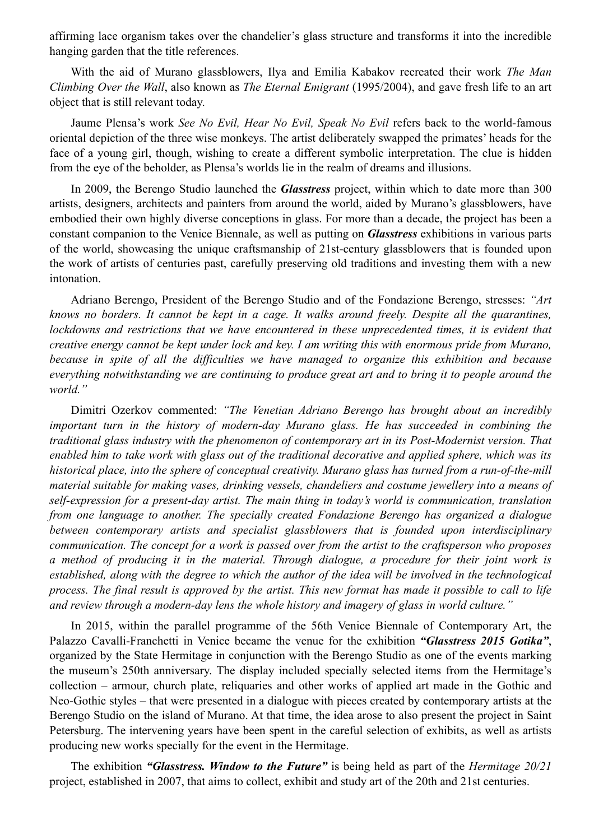affirming lace organism takes over the chandelier's glass structure and transforms it into the incredible hanging garden that the title references.

With the aid of Murano glassblowers, Ilya and Emilia Kabakov recreated their work *The Man Climbing Over the Wall*, also known as *The Eternal Emigrant* (1995/2004), and gave fresh life to an art object that is still relevant today.

Jaume Plensa's work *See No Evil, Hear No Evil, Speak No Evil* refers back to the world-famous oriental depiction of the three wise monkeys. The artist deliberately swapped the primates' heads for the face of a young girl, though, wishing to create a different symbolic interpretation. The clue is hidden from the eye of the beholder, as Plensa's worlds lie in the realm of dreams and illusions.

In 2009, the Berengo Studio launched the *Glasstress* project, within which to date more than 300 artists, designers, architects and painters from around the world, aided by Murano's glassblowers, have embodied their own highly diverse conceptions in glass. For more than a decade, the project has been a constant companion to the Venice Biennale, as well as putting on *Glasstress* exhibitions in various parts of the world, showcasing the unique craftsmanship of 21st-century glassblowers that is founded upon the work of artists of centuries past, carefully preserving old traditions and investing them with a new intonation.

Adriano Berengo, President of the Berengo Studio and of the Fondazione Berengo, stresses: *"Art knows no borders. It cannot be kept in a cage. It walks around freely. Despite all the quarantines, lockdowns and restrictions that we have encountered in these unprecedented times, it is evident that creative energy cannot be kept under lock and key. I am writing this with enormous pride from Murano, because in spite of all the difficulties we have managed to organize this exhibition and because everything notwithstanding we are continuing to produce great art and to bring it to people around the world."* 

Dimitri Ozerkov commented: *"The Venetian Adriano Berengo has brought about an incredibly important turn in the history of modern-day Murano glass. He has succeeded in combining the traditional glass industry with the phenomenon of contemporary art in its Post-Modernist version. That enabled him to take work with glass out of the traditional decorative and applied sphere, which was its historical place, into the sphere of conceptual creativity. Murano glass has turned from a run-of-the-mill material suitable for making vases, drinking vessels, chandeliers and costume jewellery into a means of self-expression for a present-day artist. The main thing in today's world is communication, translation from one language to another. The specially created Fondazione Berengo has organized a dialogue between contemporary artists and specialist glassblowers that is founded upon interdisciplinary communication. The concept for a work is passed over from the artist to the craftsperson who proposes a method of producing it in the material. Through dialogue, a procedure for their joint work is established, along with the degree to which the author of the idea will be involved in the technological process. The final result is approved by the artist. This new format has made it possible to call to life and review through a modern-day lens the whole history and imagery of glass in world culture."* 

In 2015, within the parallel programme of the 56th Venice Biennale of Contemporary Art, the Palazzo Cavalli-Franchetti in Venice became the venue for the exhibition *"Glasstress 2015 Gotika"*, organized by the State Hermitage in conjunction with the Berengo Studio as one of the events marking the museum's 250th anniversary. The display included specially selected items from the Hermitage's collection – armour, church plate, reliquaries and other works of applied art made in the Gothic and Neo-Gothic styles – that were presented in a dialogue with pieces created by contemporary artists at the Berengo Studio on the island of Murano. At that time, the idea arose to also present the project in Saint Petersburg. The intervening years have been spent in the careful selection of exhibits, as well as artists producing new works specially for the event in the Hermitage.

The exhibition *"Glasstress. Window to the Future"* is being held as part of the *Hermitage 20/21* project, established in 2007, that aims to collect, exhibit and study art of the 20th and 21st centuries.